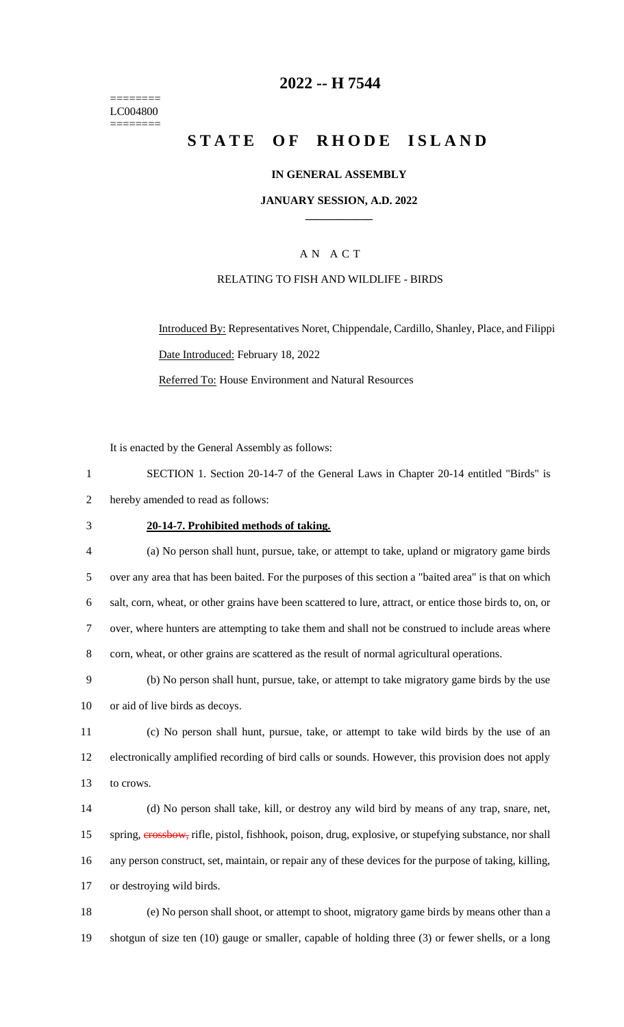======== LC004800 ========

## **2022 -- H 7544**

# **STATE OF RHODE ISLAND**

#### **IN GENERAL ASSEMBLY**

#### **JANUARY SESSION, A.D. 2022 \_\_\_\_\_\_\_\_\_\_\_\_**

## A N A C T

#### RELATING TO FISH AND WILDLIFE - BIRDS

Introduced By: Representatives Noret, Chippendale, Cardillo, Shanley, Place, and Filippi Date Introduced: February 18, 2022 Referred To: House Environment and Natural Resources

It is enacted by the General Assembly as follows:

| SECTION 1. Section 20-14-7 of the General Laws in Chapter 20-14 entitled "Birds" is |  |
|-------------------------------------------------------------------------------------|--|
| hereby amended to read as follows:                                                  |  |

## 3 **20-14-7. Prohibited methods of taking.**

 (a) No person shall hunt, pursue, take, or attempt to take, upland or migratory game birds over any area that has been baited. For the purposes of this section a "baited area" is that on which salt, corn, wheat, or other grains have been scattered to lure, attract, or entice those birds to, on, or over, where hunters are attempting to take them and shall not be construed to include areas where 8 corn, wheat, or other grains are scattered as the result of normal agricultural operations.

9 (b) No person shall hunt, pursue, take, or attempt to take migratory game birds by the use 10 or aid of live birds as decoys.

11 (c) No person shall hunt, pursue, take, or attempt to take wild birds by the use of an 12 electronically amplified recording of bird calls or sounds. However, this provision does not apply 13 to crows.

 (d) No person shall take, kill, or destroy any wild bird by means of any trap, snare, net, 15 spring, **erossbow**, rifle, pistol, fishhook, poison, drug, explosive, or stupefying substance, nor shall any person construct, set, maintain, or repair any of these devices for the purpose of taking, killing, or destroying wild birds.

18 (e) No person shall shoot, or attempt to shoot, migratory game birds by means other than a 19 shotgun of size ten (10) gauge or smaller, capable of holding three (3) or fewer shells, or a long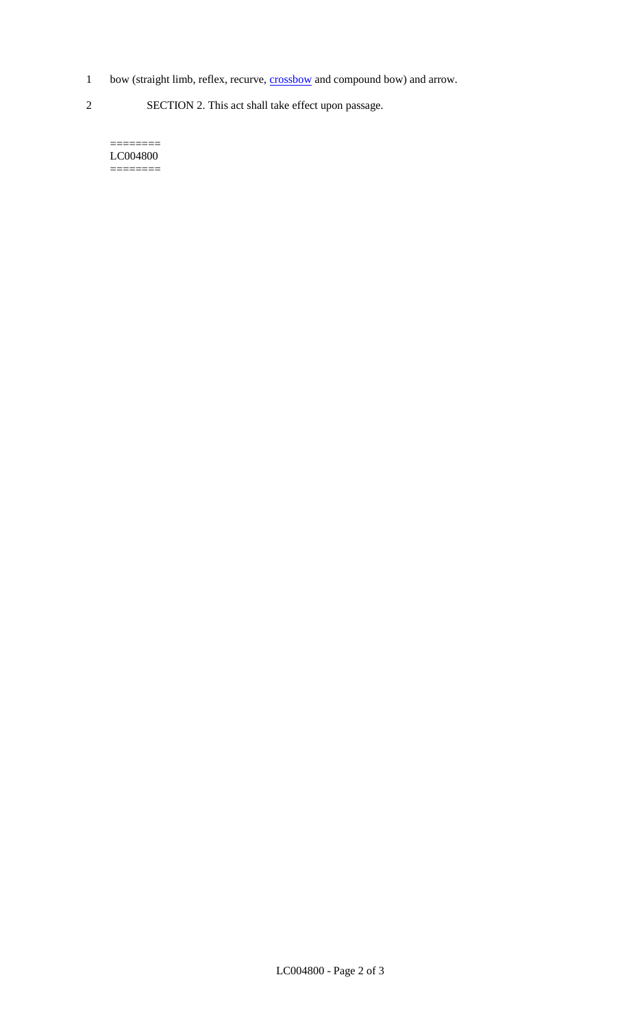- 1 bow (straight limb, reflex, recurve, **crossbow** and compound bow) and arrow.
- 2 SECTION 2. This act shall take effect upon passage.

======== LC004800 ========